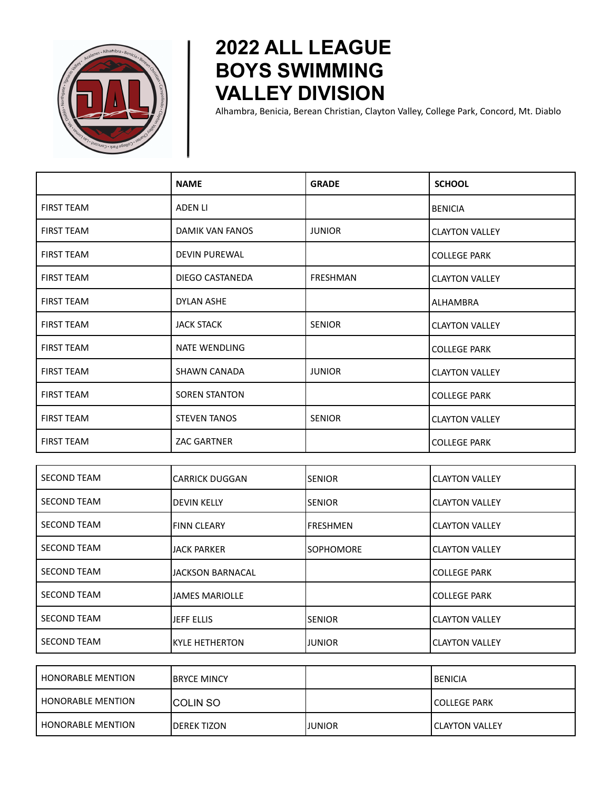

## **2022 ALL LEAGUE BOYS SWIMMING VALLEY DIVISION**

Alhambra, Benicia, Berean Christian, Clayton Valley, College Park, Concord, Mt. Diablo

|                   | <b>NAME</b>          | <b>GRADE</b>    | <b>SCHOOL</b>         |
|-------------------|----------------------|-----------------|-----------------------|
| <b>FIRST TEAM</b> | ADEN LI              |                 | BENICIA               |
| <b>FIRST TEAM</b> | DAMIK VAN FANOS      | <b>JUNIOR</b>   | <b>CLAYTON VALLEY</b> |
| <b>FIRST TEAM</b> | <b>DEVIN PUREWAL</b> |                 | <b>COLLEGE PARK</b>   |
| <b>FIRST TEAM</b> | DIEGO CASTANEDA      | <b>FRESHMAN</b> | <b>CLAYTON VALLEY</b> |
| <b>FIRST TEAM</b> | <b>DYLAN ASHE</b>    |                 | ALHAMBRA              |
| <b>FIRST TEAM</b> | <b>JACK STACK</b>    | <b>SENIOR</b>   | <b>CLAYTON VALLEY</b> |
| <b>FIRST TEAM</b> | <b>NATE WENDLING</b> |                 | <b>COLLEGE PARK</b>   |
| <b>FIRST TEAM</b> | SHAWN CANADA         | <b>JUNIOR</b>   | <b>CLAYTON VALLEY</b> |
| <b>FIRST TEAM</b> | <b>SOREN STANTON</b> |                 | <b>COLLEGE PARK</b>   |
| <b>FIRST TEAM</b> | <b>STEVEN TANOS</b>  | <b>SENIOR</b>   | <b>CLAYTON VALLEY</b> |
| <b>FIRST TEAM</b> | <b>ZAC GARTNER</b>   |                 | <b>COLLEGE PARK</b>   |

| <b>SECOND TEAM</b> | ICARRICK DUGGAN    | <b>ISENIOR</b>   | <b>CLAYTON VALLEY</b> |
|--------------------|--------------------|------------------|-----------------------|
| <b>SECOND TEAM</b> | <b>DEVIN KELLY</b> | <b>ISENIOR</b>   | <b>CLAYTON VALLEY</b> |
| <b>SECOND TEAM</b> | <b>FINN CLEARY</b> | <b>IFRESHMEN</b> | <b>CLAYTON VALLEY</b> |
| <b>SECOND TEAM</b> | <b>JACK PARKER</b> | <b>SOPHOMORE</b> | <b>CLAYTON VALLEY</b> |
| <b>SECOND TEAM</b> | IJACKSON BARNACAL  |                  | <b>COLLEGE PARK</b>   |
| <b>SECOND TEAM</b> | IJAMES MARIOLLE    |                  | <b>COLLEGE PARK</b>   |
| <b>SECOND TEAM</b> | ijeff ellis        | <b>ISENIOR</b>   | <b>CLAYTON VALLEY</b> |
| <b>SECOND TEAM</b> | IKYLE HETHERTON    | IJUNIOR          | <b>CLAYTON VALLEY</b> |

| <b>HONORABLE MENTION</b> | <b>IBRYCE MINCY</b> |         | <b>I BENICIA</b>       |
|--------------------------|---------------------|---------|------------------------|
| <b>HONORABLE MENTION</b> | <b>ICOLIN SO</b>    |         | <b>ICOLLEGE PARK</b>   |
| <b>HONORABLE MENTION</b> | <b>IDEREK TIZON</b> | IJUNIOR | <b>ICLAYTON VALLEY</b> |